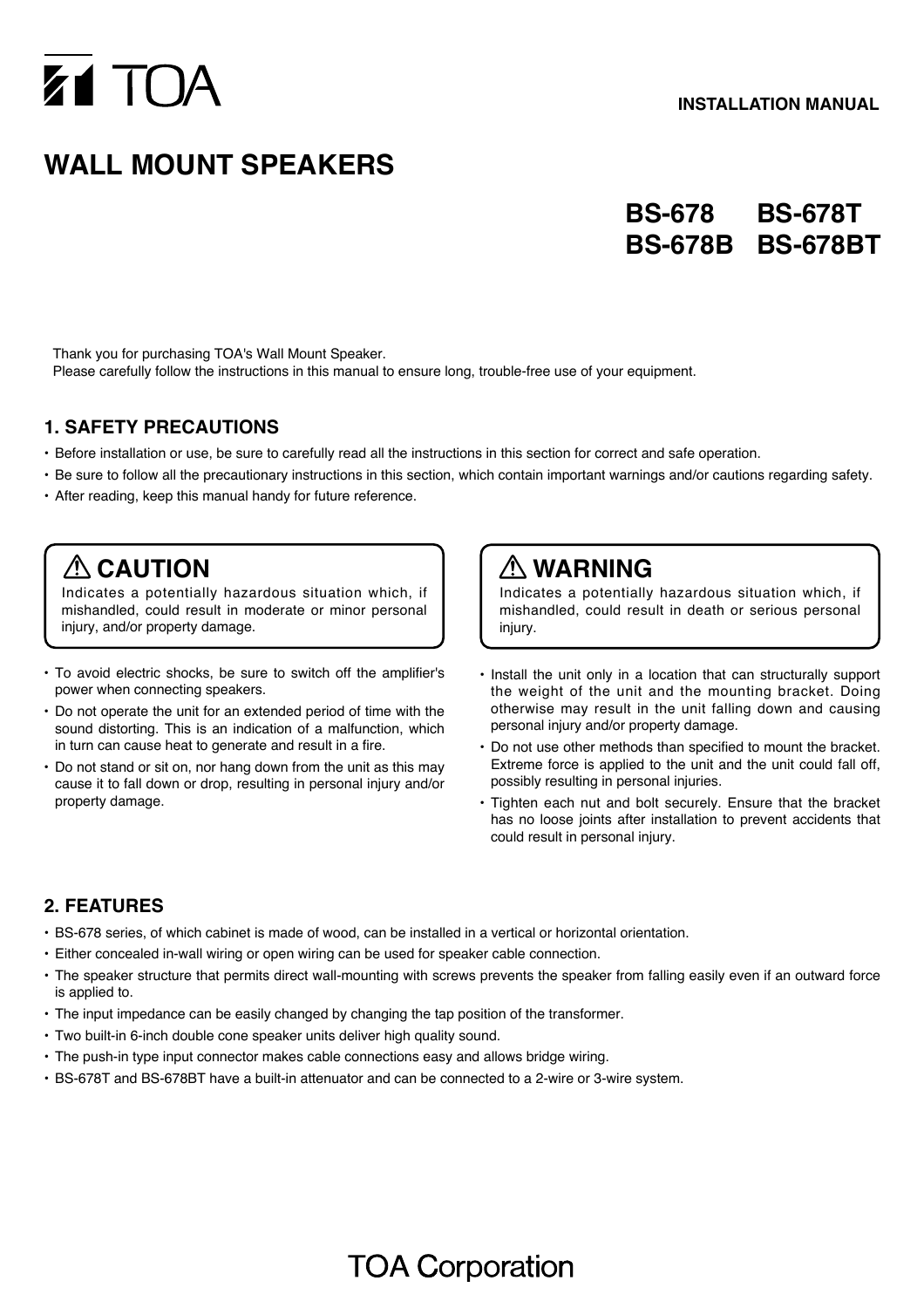# Z1 TOA

# **WALL MOUNT SPEAKERS**

**BS-678 BS-678T BS-678B BS-678BT**

Thank you for purchasing TOA's Wall Mount Speaker. Please carefully follow the instructions in this manual to ensure long, trouble-free use of your equipment.

### **1. SAFETY PRECAUTIONS**

- Before installation or use, be sure to carefully read all the instructions in this section for correct and safe operation.
- Be sure to follow all the precautionary instructions in this section, which contain important warnings and/or cautions regarding safety. • After reading, keep this manual handy for future reference.

# **ALCAUTION**

Indicates a potentially hazardous situation which, if mishandled, could result in moderate or minor personal injury, and/or property damage.

- To avoid electric shocks, be sure to switch off the amplifier's power when connecting speakers.
- Do not operate the unit for an extended period of time with the sound distorting. This is an indication of a malfunction, which in turn can cause heat to generate and result in a fire.
- Do not stand or sit on, nor hang down from the unit as this may cause it to fall down or drop, resulting in personal injury and/or property damage.

**WARNING**

Indicates a potentially hazardous situation which, if mishandled, could result in death or serious personal injury.

- Install the unit only in a location that can structurally support the weight of the unit and the mounting bracket. Doing otherwise may result in the unit falling down and causing personal injury and/or property damage.
- Do not use other methods than specified to mount the bracket. Extreme force is applied to the unit and the unit could fall off, possibly resulting in personal injuries.
- Tighten each nut and bolt securely. Ensure that the bracket has no loose joints after installation to prevent accidents that could result in personal injury.

## **2. FEATURES**

- BS-678 series, of which cabinet is made of wood, can be installed in a vertical or horizontal orientation.
- Either concealed in-wall wiring or open wiring can be used for speaker cable connection.
- The speaker structure that permits direct wall-mounting with screws prevents the speaker from falling easily even if an outward force is applied to.
- The input impedance can be easily changed by changing the tap position of the transformer.
- Two built-in 6-inch double cone speaker units deliver high quality sound.
- The push-in type input connector makes cable connections easy and allows bridge wiring.
- BS-678T and BS-678BT have a built-in attenuator and can be connected to a 2-wire or 3-wire system.

# **TOA Corporation**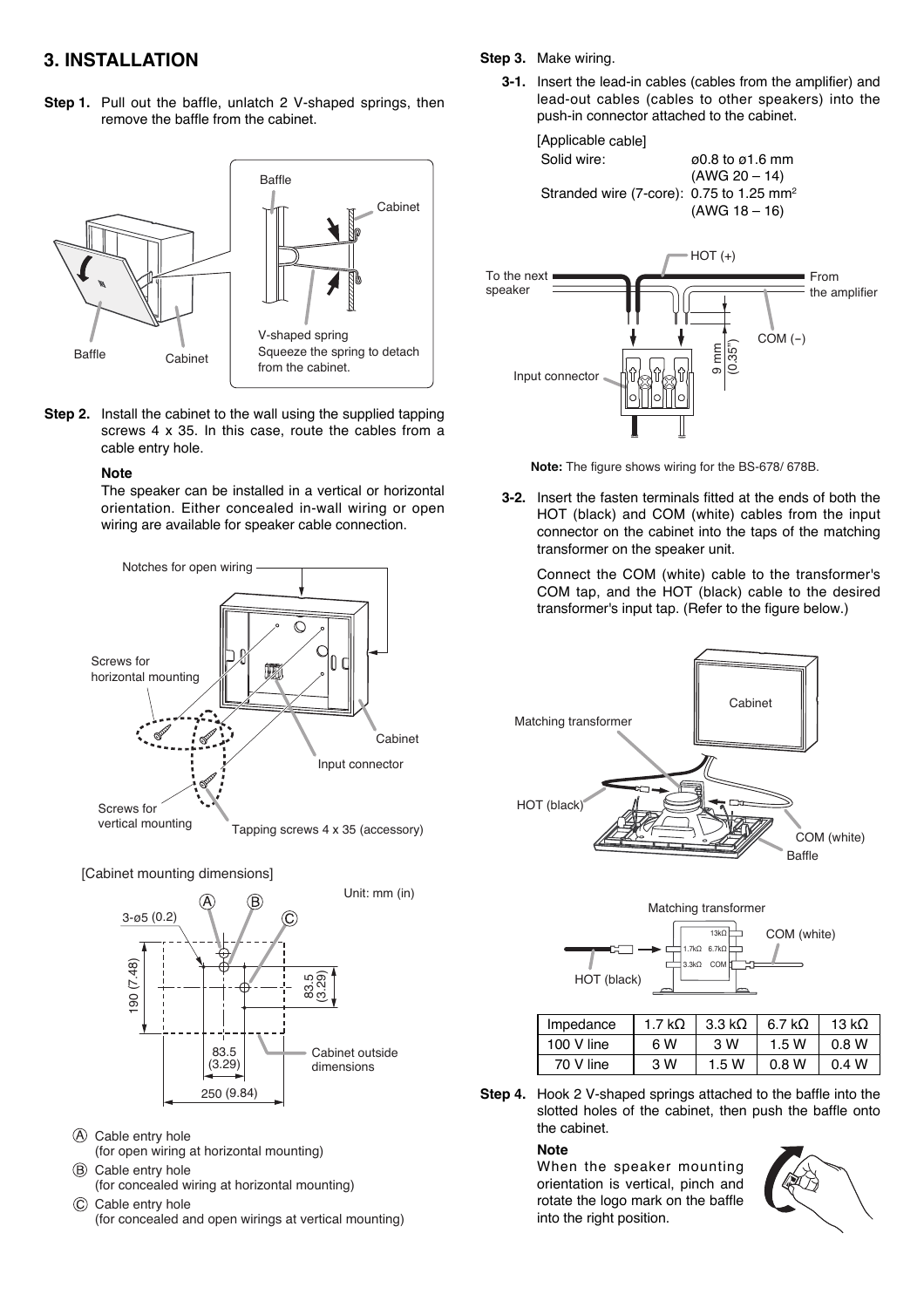## **3. INSTALLATION**

**Step 1.** Pull out the baffle, unlatch 2 V-shaped springs, then remove the baffle from the cabinet.



**Step 2.** Install the cabinet to the wall using the supplied tapping screws 4 x 35. In this case, route the cables from a cable entry hole.

#### **Note**

The speaker can be installed in a vertical or horizontal orientation. Either concealed in-wall wiring or open wiring are available for speaker cable connection.



#### [Cabinet mounting dimensions]



Cable entry hole (for open wiring at horizontal mounting)  $\mathcal{B}$ Cable entry hole

(for concealed wiring at horizontal mounting)

C Cable entry hole (for concealed and open wirings at vertical mounting)

#### **Step 3.** Make wiring.

**3-1.** Insert the lead-in cables (cables from the amplifier) and lead-out cables (cables to other speakers) into the push-in connector attached to the cabinet.

[Applicable cable]

Solid wire:  $\emptyset$ 0.8 to  $\emptyset$ 1.6 mm  $(AWG 20 – 14)$ Stranded wire (7-core): 0.75 to 1.25 mm2 (AWG 18 – 16)





**3-2.** Insert the fasten terminals fitted at the ends of both the HOT (black) and COM (white) cables from the input connector on the cabinet into the taps of the matching transformer on the speaker unit.

Connect the COM (white) cable to the transformer's COM tap, and the HOT (black) cable to the desired transformer's input tap. (Refer to the figure below.)





| Impedance  | 1.7 kO | $3.3 \text{ k}\Omega$ | 6.7 kO | 13 kO |
|------------|--------|-----------------------|--------|-------|
| 100 V line | 6 W    | 3 W                   | 1.5 W  | 0.8 W |
| 70 V line  | 3 W    | 1.5W                  | 0.8 W  | 0.4 W |

**Step 4.** Hook 2 V-shaped springs attached to the baffle into the slotted holes of the cabinet, then push the baffle onto the cabinet.

#### **Note**

When the speaker mounting orientation is vertical, pinch and rotate the logo mark on the baffle into the right position.

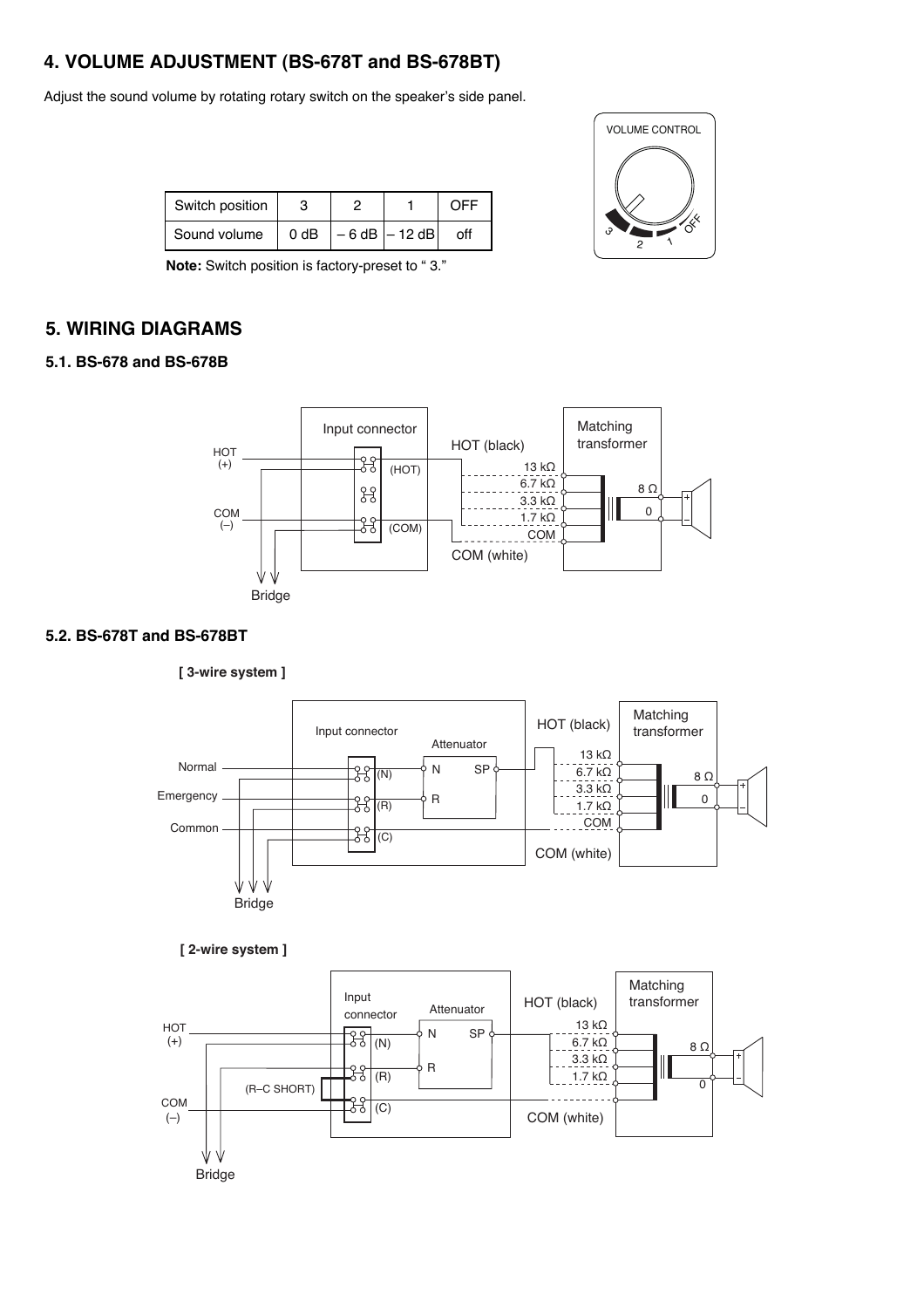# **4. VOLUME ADJUSTMENT (BS-678T and BS-678BT)**

Adjust the sound volume by rotating rotary switch on the speaker's side panel.

| Switch position |                  |                   |     |
|-----------------|------------------|-------------------|-----|
|                 |                  |                   |     |
| Sound volume    | 0 <sub>d</sub> B | $-6$ dB $ -12$ dB | off |



## **5. WIRING DIAGRAMS**

#### **5.1. BS-678 and BS-678B**



 $\frac{1}{\alpha}$ 

2 1

VOLUME CONTROL

نۍ

#### **5.2. BS-678T and BS-678BT**